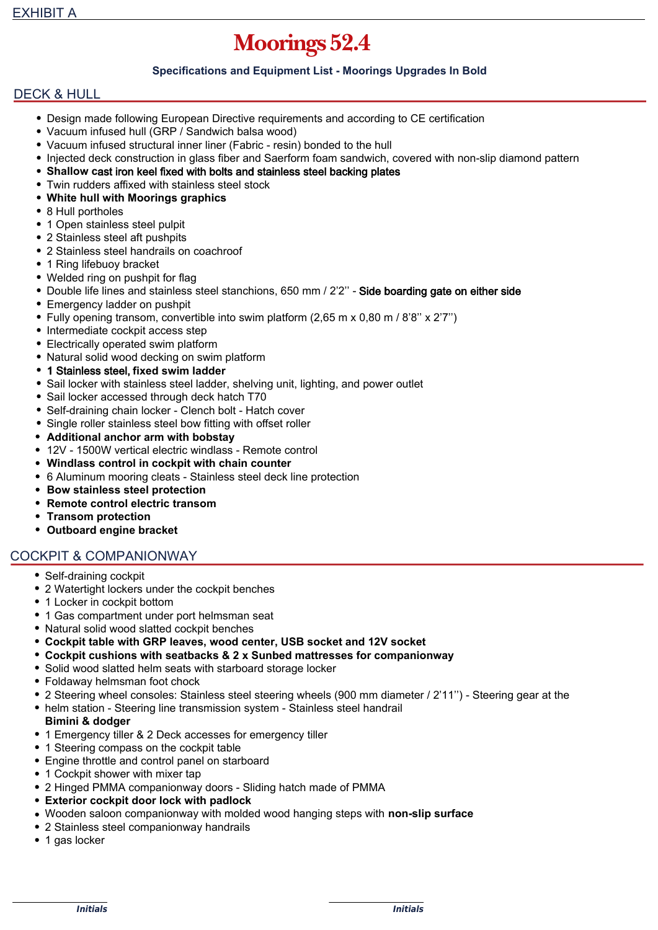# Moorings 52.4

## **Specifications and Equipment List - Moorings Upgrades In Bold**

## DECK & HULL

- Design made following European Directive requirements and according to CE certification
- Vacuum infused hull (GRP / Sandwich balsa wood)
- Vacuum infused structural inner liner (Fabric resin) bonded to the hull
- Injected deck construction in glass fiber and Saerform foam sandwich, covered with non-slip diamond pattern
- **Shallow c**ast iron keel fixed with bolts and stainless steel backing plates
- Twin rudders affixed with stainless steel stock
- **White hull with Moorings graphics**
- 8 Hull portholes
- 1 Open stainless steel pulpit
- 2 Stainless steel aft pushpits
- 2 Stainless steel handrails on coachroof
- 1 Ring lifebuoy bracket
- Welded ring on pushpit for flag
- Double life lines and stainless steel stanchions, 650 mm / 2'2" Side boarding gate on either side
- Emergency ladder on pushpit
- Fully opening transom, convertible into swim platform (2,65 m x 0,80 m / 8'8'' x 2'7'')
- Intermediate cockpit access step
- Electrically operated swim platform
- Natural solid wood decking on swim platform
- 1 Stainless steel, **fixed swim ladder**
- Sail locker with stainless steel ladder, shelving unit, lighting, and power outlet
- Sail locker accessed through deck hatch T70
- Self-draining chain locker Clench bolt Hatch cover
- Single roller stainless steel bow fitting with offset roller
- **Additional anchor arm with bobstay**
- 12V 1500W vertical electric windlass Remote control
- **Windlass control in cockpit with chain counter**
- 6 Aluminum mooring cleats Stainless steel deck line protection
- **Bow stainless steel protection**
- **Remote control electric transom**
- **Transom protection**
- **Outboard engine bracket**

# COCKPIT & COMPANIONWAY

- Self-draining cockpit
- 2 Watertight lockers under the cockpit benches
- 1 Locker in cockpit bottom
- 1 Gas compartment under port helmsman seat
- Natural solid wood slatted cockpit benches
- **Cockpit table with GRP leaves, wood center, USB socket and 12V socket**
- **Cockpit cushions with seatbacks & 2 x Sunbed mattresses for companionway**
- Solid wood slatted helm seats with starboard storage locker
- Foldaway helmsman foot chock
- 2 Steering wheel consoles: Stainless steel steering wheels (900 mm diameter / 2'11'') Steering gear at the
- helm station Steering line transmission system Stainless steel handrail
- **Bimini & dodger**
- 1 Emergency tiller & 2 Deck accesses for emergency tiller
- 1 Steering compass on the cockpit table
- Engine throttle and control panel on starboard
- 1 Cockpit shower with mixer tap
- 2 Hinged PMMA companionway doors Sliding hatch made of PMMA
- **Exterior cockpit door lock with padlock**
- Wooden saloon companionway with molded wood hanging steps with **non-slip surface**
- 2 Stainless steel companionway handrails
- 1 gas locker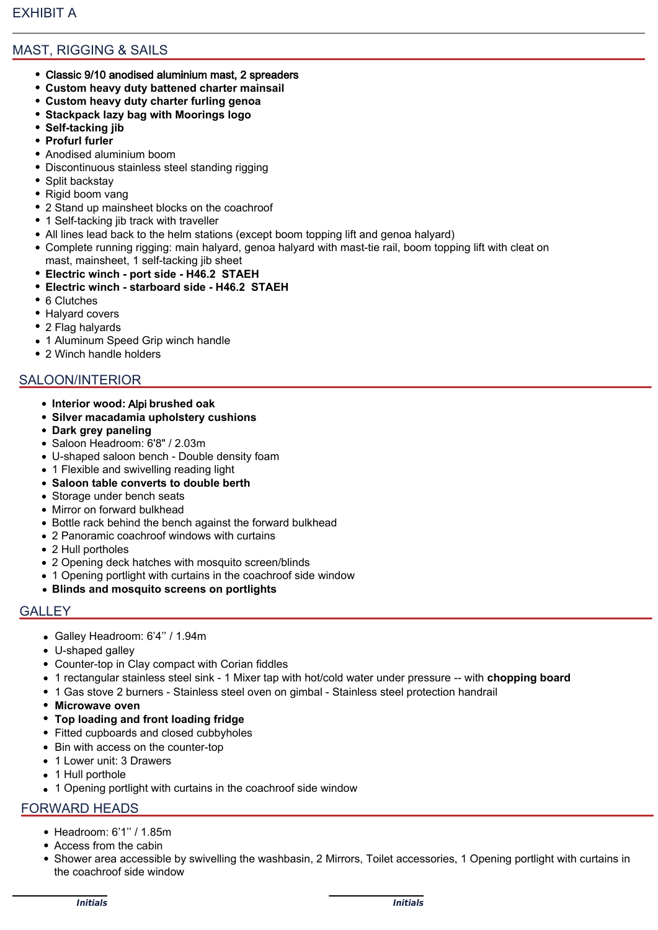# MAST, RIGGING & SAILS

- Classic 9/10 anodised aluminium mast, 2 spreaders
- **Custom heavy duty battened charter mainsail**
- **Custom heavy duty charter furling genoa**
- **Stackpack lazy bag with Moorings logo**
- **Self-tacking jib**
- **Profurl furler**
- Anodised aluminium boom
- Discontinuous stainless steel standing rigging
- Split backstay
- Rigid boom vang
- 2 Stand up mainsheet blocks on the coachroof
- 1 Self-tacking jib track with traveller
- All lines lead back to the helm stations (except boom topping lift and genoa halyard)
- Complete running rigging: main halyard, genoa halyard with mast-tie rail, boom topping lift with cleat on mast, mainsheet, 1 self-tacking jib sheet
- **Electric winch port side H46.2 STAEH**
- **Electric winch starboard side H46.2 STAEH**
- 6 Clutches
- Halyard covers
- 2 Flag halyards
- 1 Aluminum Speed Grip winch handle
- 2 Winch handle holders

## SALOON/INTERIOR

- **Interior wood:** Alpi **brushed oak**
- **Silver macadamia upholstery cushions**
- **Dark grey paneling**
- Saloon Headroom: 6'8" / 2.03m
- U-shaped saloon bench Double density foam
- 1 Flexible and swivelling reading light
- **Saloon table converts to double berth**
- Storage under bench seats
- Mirror on forward bulkhead
- Bottle rack behind the bench against the forward bulkhead
- 2 Panoramic coachroof windows with curtains
- 2 Hull portholes
- 2 Opening deck hatches with mosquito screen/blinds
- 1 Opening portlight with curtains in the coachroof side window
- **Blinds and mosquito screens on portlights**

#### **GALLEY**

- Galley Headroom: 6'4'' / 1.94m
- U-shaped galley
- Counter-top in Clay compact with Corian fiddles
- 1 rectangular stainless steel sink 1 Mixer tap with hot/cold water under pressure -- with **chopping board**
- 1 Gas stove 2 burners Stainless steel oven on gimbal Stainless steel protection handrail
- **Microwave oven**
- **Top loading and front loading fridge**
- Fitted cupboards and closed cubbyholes
- Bin with access on the counter-top
- 1 Lower unit: 3 Drawers
- 1 Hull porthole
- 1 Opening portlight with curtains in the coachroof side window

# FORWARD HEADS

- Headroom: 6'1'' / 1.85m
- Access from the cabin
- Shower area accessible by swivelling the washbasin, 2 Mirrors, Toilet accessories, 1 Opening portlight with curtains in the coachroof side window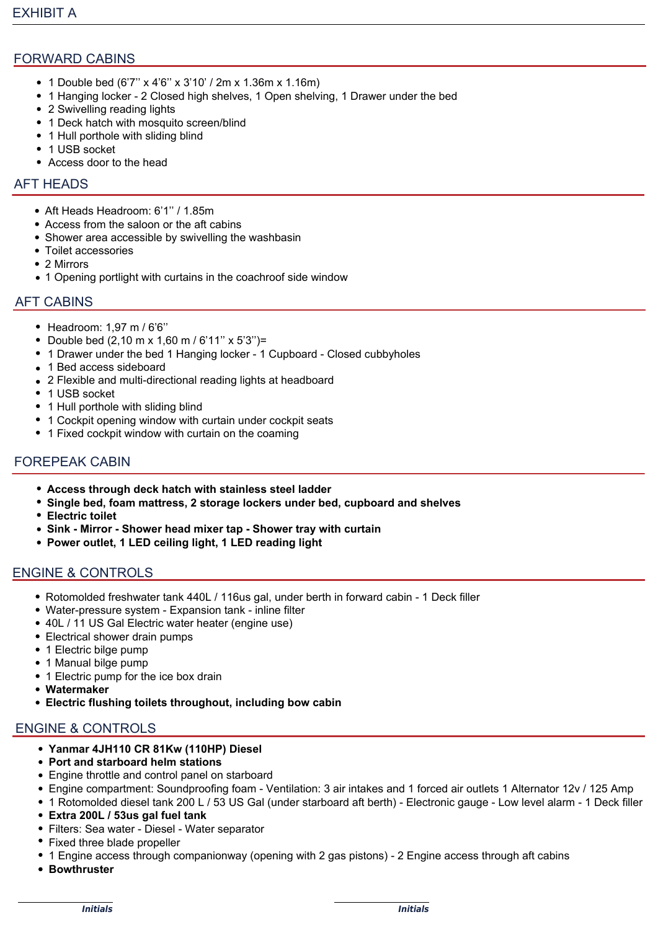# FORWARD CABINS

- 1 Double bed (6'7'' x 4'6'' x 3'10' / 2m x 1.36m x 1.16m)
- 1 Hanging locker 2 Closed high shelves, 1 Open shelving, 1 Drawer under the bed
- 2 Swivelling reading lights
- 1 Deck hatch with mosquito screen/blind
- 1 Hull porthole with sliding blind
- 1 USB socket
- Access door to the head

### AFT HEADS

- Aft Heads Headroom: 6'1'' / 1.85m
- Access from the saloon or the aft cabins
- Shower area accessible by swivelling the washbasin
- Toilet accessories
- 2 Mirrors
- 1 Opening portlight with curtains in the coachroof side window

#### AFT CABINS

- Headroom: 1,97 m / 6'6"
- Double bed  $(2,10 \text{ m} \times 1,60 \text{ m} / 6,11" \times 5'3")$ =
- 1 Drawer under the bed 1 Hanging locker 1 Cupboard Closed cubbyholes
- 1 Bed access sideboard
- 2 Flexible and multi-directional reading lights at headboard
- 1 USB socket
- 1 Hull porthole with sliding blind
- 1 Cockpit opening window with curtain under cockpit seats
- 1 Fixed cockpit window with curtain on the coaming

## FOREPEAK CABIN

- **Access through deck hatch with stainless steel ladder**
- **Single bed, foam mattress, 2 storage lockers under bed, cupboard and shelves**
- **Electric toilet**
- **Sink Mirror Shower head mixer tap Shower tray with curtain**
- **Power outlet, 1 LED ceiling light, 1 LED reading light**

## ENGINE & CONTROLS

- Rotomolded freshwater tank 440L / 116us gal, under berth in forward cabin 1 Deck filler
- Water-pressure system Expansion tank inline filter
- 40L / 11 US Gal Electric water heater (engine use)
- Electrical shower drain pumps
- 1 Electric bilge pump
- 1 Manual bilge pump
- 1 Electric pump for the ice box drain
- **Watermaker**
- **Electric flushing toilets throughout, including bow cabin**

# ENGINE & CONTROLS

- **Yanmar 4JH110 CR 81Kw (110HP) Diesel**
- **Port and starboard helm stations**
- Engine throttle and control panel on starboard
- Engine compartment: Soundproofing foam Ventilation: 3 air intakes and 1 forced air outlets 1 Alternator 12v / 125 Amp
- 1 Rotomolded diesel tank 200 L / 53 US Gal (under starboard aft berth) Electronic gauge Low level alarm 1 Deck filler
- **Extra 200L / 53us gal fuel tank**
- Filters: Sea water Diesel Water separator
- Fixed three blade propeller
- 1 Engine access through companionway (opening with 2 gas pistons) 2 Engine access through aft cabins
- **Bowthruster**